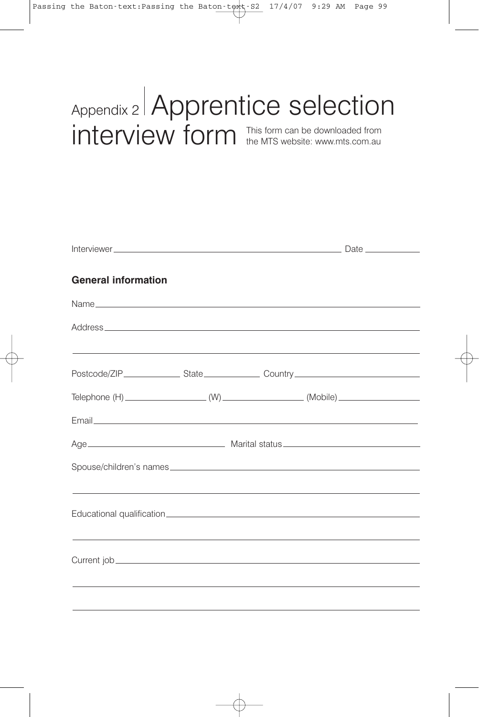## Appendix 2 Apprentice selection interview form This form can be downloaded from the MTS website: www.mts.com.au

Interviewer Date **General information** Name Address Postcode/ZIP State Country Country Country  $\text{Telephone (H)}$  (Mobile) (W) (Mobile) (Mobile) Email Age Marital status Spouse/children's names Educational qualification Current job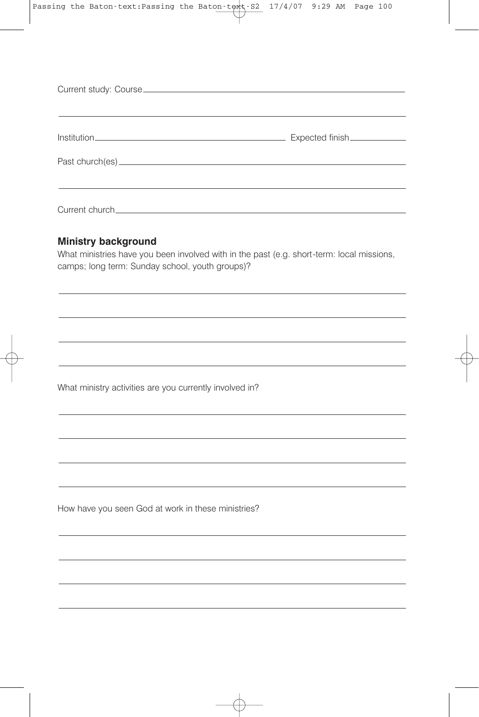| Expected finish______________ |
|-------------------------------|
|                               |
|                               |

## **Ministry background**

What ministries have you been involved with in the past (e.g. short-term: local missions, camps; long term: Sunday school, youth groups)?

What ministry activities are you currently involved in?

How have you seen God at work in these ministries?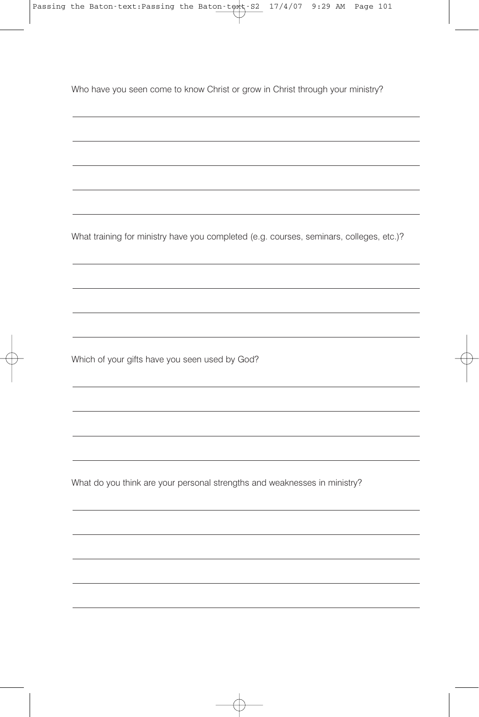Who have you seen come to know Christ or grow in Christ through your ministry?

What training for ministry have you completed (e.g. courses, seminars, colleges, etc.)?

Which of your gifts have you seen used by God?

What do you think are your personal strengths and weaknesses in ministry?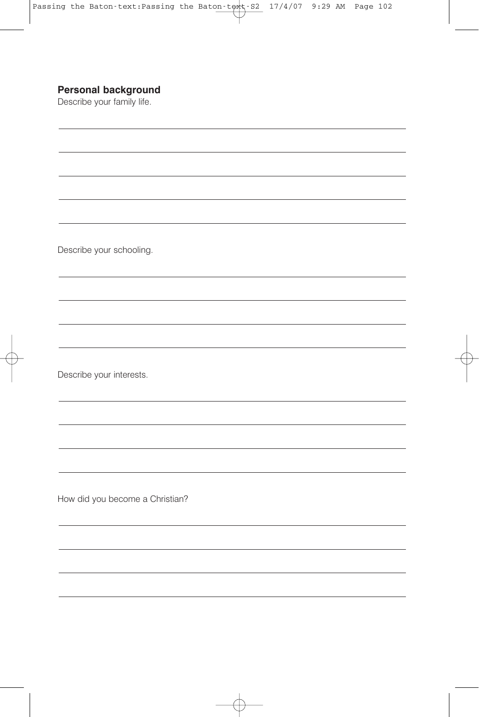## **Personal background**

Describe your family life.

Describe your schooling.

Describe your interests.

How did you become a Christian?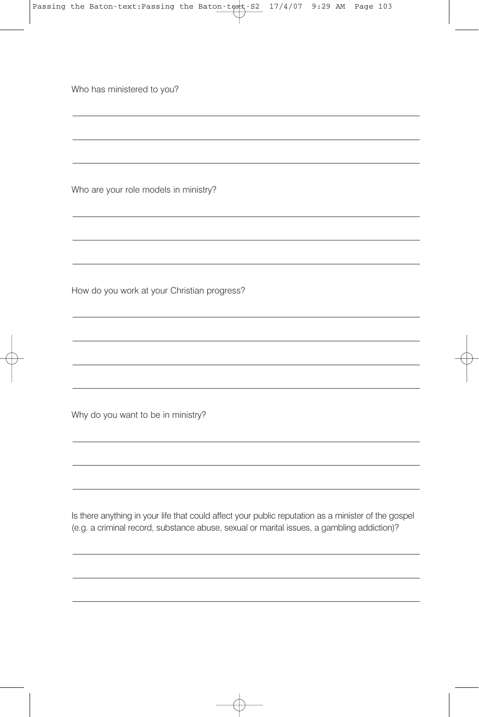Who has ministered to you?

Who are your role models in ministry?

How do you work at your Christian progress?

Why do you want to be in ministry?

Is there anything in your life that could affect your public reputation as a minister of the gospel (e.g. a criminal record, substance abuse, sexual or marital issues, a gambling addiction)?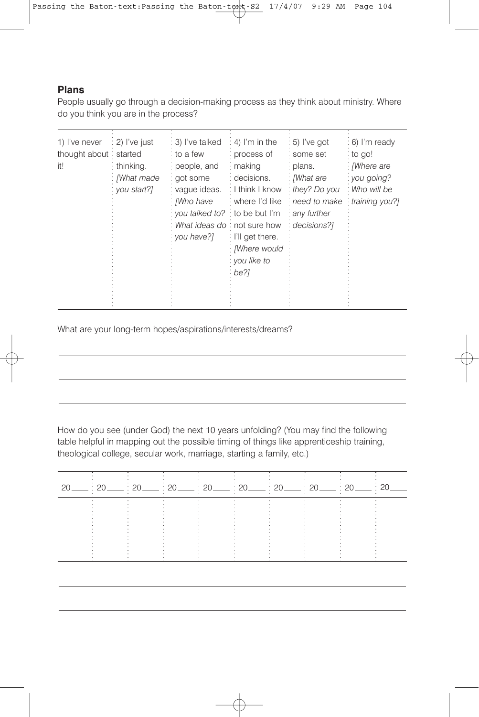## **Plans**

People usually go through a decision-making process as they think about ministry. Where do you think you are in the process?

| $: 2)$ I've just<br>1) I've never<br>thought about started<br>it!<br>thinking.<br>: [What made<br>you start?] | : 3) I've talked<br>: to a few<br>people, and<br>got some<br>: vaque ideas.<br>: Mho have<br>you talked to? to be but I'm<br>What ideas do: not sure how<br>vou have?] | $: 4)$ I'm in the<br>process of<br>making<br>: decisions.<br>: I think I know<br>where I'd like<br>$\therefore$ I'll get there.<br>: <i>[Where would</i><br>: you like to<br>: be?1 | : 5) I've got<br>: some set<br>· plans.<br>: /What are<br>they? Do you<br>need to make<br>any further<br>decisions?1 | : 6) I'm ready<br>to go!<br><i>Mhere</i> are<br>: you going?<br>: Who will be<br>training you?] |
|---------------------------------------------------------------------------------------------------------------|------------------------------------------------------------------------------------------------------------------------------------------------------------------------|-------------------------------------------------------------------------------------------------------------------------------------------------------------------------------------|----------------------------------------------------------------------------------------------------------------------|-------------------------------------------------------------------------------------------------|
|---------------------------------------------------------------------------------------------------------------|------------------------------------------------------------------------------------------------------------------------------------------------------------------------|-------------------------------------------------------------------------------------------------------------------------------------------------------------------------------------|----------------------------------------------------------------------------------------------------------------------|-------------------------------------------------------------------------------------------------|

What are your long-term hopes/aspirations/interests/dreams?

How do you see (under God) the next 10 years unfolding? (You may find the following table helpful in mapping out the possible timing of things like apprenticeship training, theological college, secular work, marriage, starting a family, etc.)

| $\cdot$ 20 |                                                                        |                                                                                                             |                                                                                                                                          |                                                                                                                                                                                              |                                                                                                                                 |                                                                                  |                                                                                                                          |                                                              |  |
|------------|------------------------------------------------------------------------|-------------------------------------------------------------------------------------------------------------|------------------------------------------------------------------------------------------------------------------------------------------|----------------------------------------------------------------------------------------------------------------------------------------------------------------------------------------------|---------------------------------------------------------------------------------------------------------------------------------|----------------------------------------------------------------------------------|--------------------------------------------------------------------------------------------------------------------------|--------------------------------------------------------------|--|
|            |                                                                        | And the state of the con-<br>And the state of the state of<br>the control of the control of the             | <b>All Contracts</b><br>the control of the control of                                                                                    | 4. 이 사이 시간 시간 시간 시간이 있는 것이 아니라 이 사이 시간이 있는 것이 아니라 이 사이 시간이 있다.<br>and the company of the company                                                                                             | and the company of the company<br><b>Contract Contract Contract</b><br><b>STATE</b>                                             | <b>Contract Contract Contract</b><br>$\sim$                                      | <b>Service Control</b><br><b>Service Controllers</b><br>and the state of the state of<br>the contract of the contract of | <b>Contract Contract</b><br>the company's company's com-     |  |
|            | $\sim$<br>the contract of the con-<br>and the state of the state of    | the contract of the contract of<br>the contract of the contract of the<br>and the company of the company of | the contract of the contract of<br>the contract of the contract of<br>the contract of the contract of<br>the contract of the contract of | and the company of the company<br>and the company of the company<br>the control of the control of the                                                                                        | and the control of the control of the control of the con-<br>the contract of the contract of<br>the contract of the contract of | $\sim$<br>the contract of the contract of<br>the contract of the contract of the | the contract of the contract of<br><b>Service</b><br>the contract of the contract of<br>$\sim$                           | <b>Service Controllers</b><br>$\sim$ $\sim$<br>$\sim$ $\sim$ |  |
|            | <b>Service</b><br>$\sim$<br>. .<br>the contract of the contract of the | $\sim$ $\sim$ $\sim$ $\sim$ $\sim$ $\sim$ $\sim$ $\sim$<br>the contract of the contract of                  | a company of the company of the                                                                                                          | and the company of the company of<br>the contract of the contract of the<br>그 사람들은 그 사람들은 아이들이 아니라 아이들이 아니라 아이들이 아니라 아이들이 아니라 아이들이 아니라 아이들이 아니라 아이들이 아니라 아이들이 아니라 아이들이 아니라 아이들이 아니라 아이들이 아니라 |                                                                                                                                 | $\sim$<br>$\sim$ 100 $\sim$<br><b>Service</b><br>the contract of the contract of | $\sim$<br>$\sim$<br>the contract of the contract of                                                                      | $\sim$                                                       |  |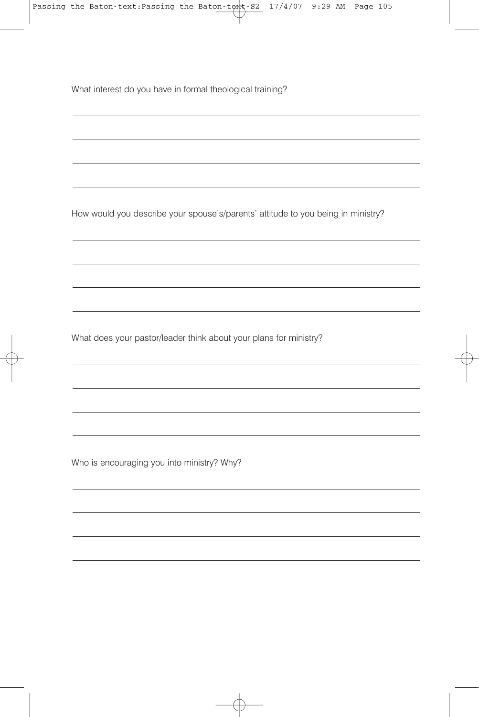What interest do you have in formal theological training?

How would you describe your spouse's/parents' attitude to you being in ministry?

What does your pastor/leader think about your plans for ministry?

Who is encouraging you into ministry? Why?